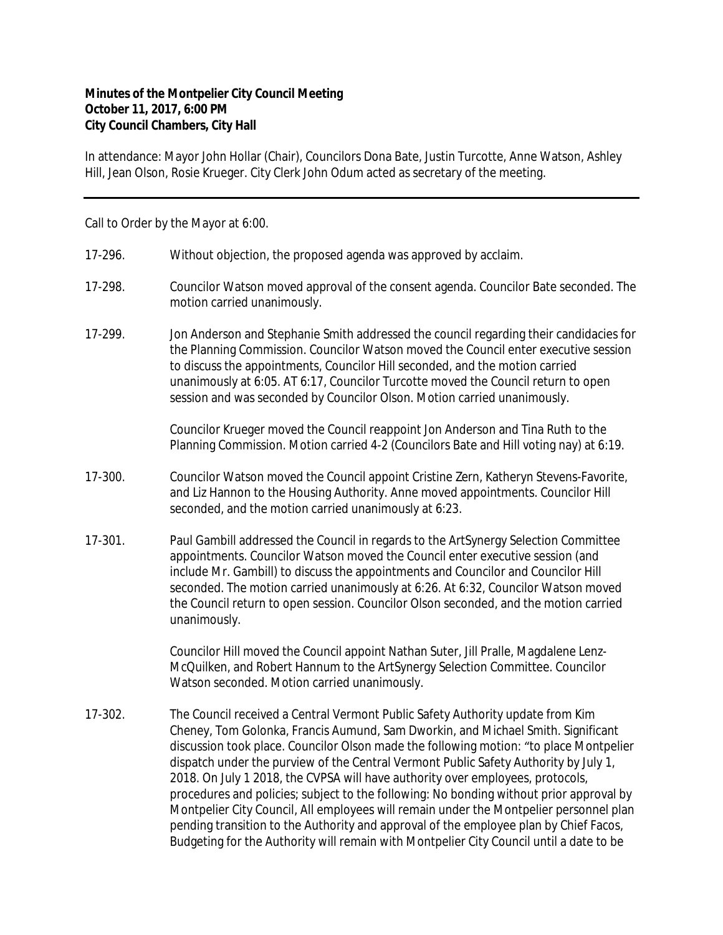## **Minutes of the Montpelier City Council Meeting October 11, 2017, 6:00 PM City Council Chambers, City Hall**

In attendance: Mayor John Hollar (Chair), Councilors Dona Bate, Justin Turcotte, Anne Watson, Ashley Hill, Jean Olson, Rosie Krueger. City Clerk John Odum acted as secretary of the meeting.

Call to Order by the Mayor at 6:00.

- 17-296. Without objection, the proposed agenda was approved by acclaim.
- 17-298. Councilor Watson moved approval of the consent agenda. Councilor Bate seconded. The motion carried unanimously.
- 17-299. Jon Anderson and Stephanie Smith addressed the council regarding their candidacies for the Planning Commission. Councilor Watson moved the Council enter executive session to discuss the appointments, Councilor Hill seconded, and the motion carried unanimously at 6:05. AT 6:17, Councilor Turcotte moved the Council return to open session and was seconded by Councilor Olson. Motion carried unanimously.

Councilor Krueger moved the Council reappoint Jon Anderson and Tina Ruth to the Planning Commission. Motion carried 4-2 (Councilors Bate and Hill voting nay) at 6:19.

- 17-300. Councilor Watson moved the Council appoint Cristine Zern, Katheryn Stevens-Favorite, and Liz Hannon to the Housing Authority. Anne moved appointments. Councilor Hill seconded, and the motion carried unanimously at 6:23.
- 17-301. Paul Gambill addressed the Council in regards to the ArtSynergy Selection Committee appointments. Councilor Watson moved the Council enter executive session (and include Mr. Gambill) to discuss the appointments and Councilor and Councilor Hill seconded. The motion carried unanimously at 6:26. At 6:32, Councilor Watson moved the Council return to open session. Councilor Olson seconded, and the motion carried unanimously.

Councilor Hill moved the Council appoint Nathan Suter, Jill Pralle, Magdalene Lenz-McQuilken, and Robert Hannum to the ArtSynergy Selection Committee. Councilor Watson seconded. Motion carried unanimously.

17-302. The Council received a Central Vermont Public Safety Authority update from Kim Cheney, Tom Golonka, Francis Aumund, Sam Dworkin, and Michael Smith. Significant discussion took place. Councilor Olson made the following motion: "to place Montpelier dispatch under the purview of the Central Vermont Public Safety Authority by July 1, 2018. On July 1 2018, the CVPSA will have authority over employees, protocols, procedures and policies; subject to the following: No bonding without prior approval by Montpelier City Council, All employees will remain under the Montpelier personnel plan pending transition to the Authority and approval of the employee plan by Chief Facos, Budgeting for the Authority will remain with Montpelier City Council until a date to be